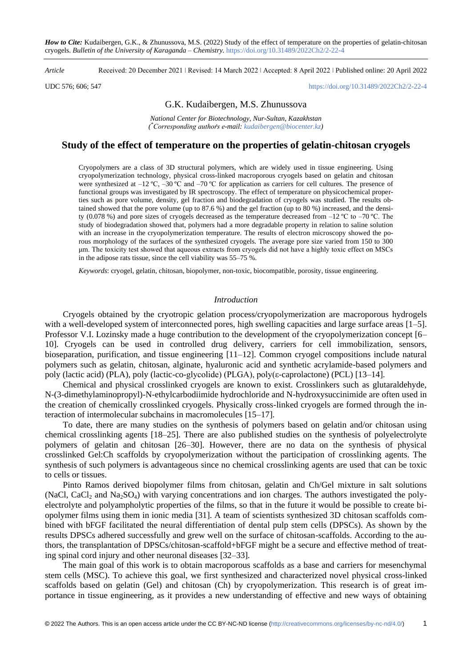*Article* Received: 20 December 2021 ǀ Revised: 14 March 2022 ǀ Accepted: 8 April 2022 ǀ Published online: 20 April 2022

#### UDC 576; 606; 547 <https://doi.org/10.31489/2022Ch2/2-22-4>

## G.K. Kudaibergen, M.S. Zhunussova

*National Center for Biotechnology, Nur-Sultan, Kazakhstan ( \* -mail: [kudaibergen@biocenter.kz\)](mailto:kudaibergen@biocenter.kz)*

# **Study of the effect of temperature on the properties of gelatin-chitosan cryogels**

Cryopolymers are a class of 3D structural polymers, which are widely used in tissue engineering. Using cryopolymerization technology, physical cross-linked macroporous cryogels based on gelatin and chitosan were synthesized at  $-12 \text{ °C}$ ,  $-30 \text{ °C}$  and  $-70 \text{ °C}$  for application as carriers for cell cultures. The presence of functional groups was investigated by IR spectroscopy. The effect of temperature on physicochemical properties such as pore volume, density, gel fraction and biodegradation of cryogels was studied. The results obtained showed that the pore volume (up to 87.6 %) and the gel fraction (up to 80 %) increased, and the density (0.078 %) and pore sizes of cryogels decreased as the temperature decreased from  $-12$  °C to  $-70$  °C. The study of biodegradation showed that, polymers had a more degradable property in relation to saline solution with an increase in the cryopolymerization temperature. The results of electron microscopy showed the porous morphology of the surfaces of the synthesized cryogels. The average pore size varied from 150 to 300 μm. The toxicity test showed that aqueous extracts from cryogels did not have a highly toxic effect on MSCs in the adipose rats tissue, since the cell viability was 55–75 %.

*Keywords*: cryogel, gelatin, chitosan, biopolymer, non-toxic, biocompatible, porosity, tissue engineering.

### *Introduction*

Cryogels obtained by the cryotropic gelation process/cryopolymerization are macroporous hydrogels with a well-developed system of interconnected pores, high swelling capacities and large surface areas [1–5]. Professor V.I. Lozinsky made a huge contribution to the development of the cryopolymerization concept [6– 10]. Cryogels can be used in controlled drug delivery, carriers for cell immobilization, sensors, bioseparation, purification, and tissue engineering [11–12]. Common cryogel compositions include natural polymers such as gelatin, chitosan, alginate, hyaluronic acid and synthetic acrylamide-based polymers and poly (lactic acid) (PLA), poly (lactic-co-glycolide) (PLGA), poly(ε-caprolactone) (PCL) [13–14].

Chemical and physical crosslinked cryogels are known to exist. Crosslinkers such as glutaraldehyde, N-(3-dimethylaminopropyl)-N-ethylcarbodiimide hydrochloride and N-hydroxysuccinimide are often used in the creation of chemically crosslinked cryogels. Physically cross-linked cryogels are formed through the interaction of intermolecular subchains in macromolecules [15–17].

To date, there are many studies on the synthesis of polymers based on gelatin and/or chitosan using chemical crosslinking agents [18–25]. There are also published studies on the synthesis of polyelectrolyte polymers of gelatin and chitosan [26–30]. However, there are no data on the synthesis of physical crosslinked Gel:Ch scaffolds by cryopolymerization without the participation of crosslinking agents. The synthesis of such polymers is advantageous since no chemical crosslinking agents are used that can be toxic to cells or tissues.

Pinto Ramos derived biopolymer films from chitosan, gelatin and Ch/Gel mixture in salt solutions (NaCl, CaCl<sub>2</sub> and Na<sub>2</sub>SO<sub>4</sub>) with varying concentrations and ion charges. The authors investigated the polyelectrolyte and polyampholytic properties of the films, so that in the future it would be possible to create biopolymer films using them in ionic media [31]. A team of scientists synthesized 3D chitosan scaffolds combined with bFGF facilitated the neural differentiation of dental pulp stem cells (DPSCs). As shown by the results DPSCs adhered successfully and grew well on the surface of chitosan-scaffolds. According to the authors, the transplantation of DPSCs/chitosan-scaffold+bFGF might be a secure and effective method of treating spinal cord injury and other neuronal diseases [32–33].

The main goal of this work is to obtain macroporous scaffolds as a base and carriers for mesenchymal stem cells (MSC). To achieve this goal, we first synthesized and characterized novel physical cross-linked scaffolds based on gelatin (Gel) and chitosan (Ch) by cryopolymerization. This research is of great importance in tissue engineering, as it provides a new understanding of effective and new ways of obtaining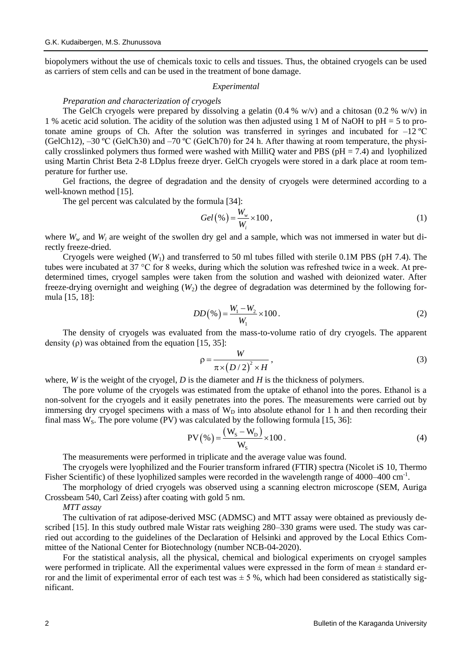biopolymers without the use of chemicals toxic to cells and tissues. Thus, the obtained cryogels can be used as carriers of stem cells and can be used in the treatment of bone damage.

### *Experimental*

# *Preparation and characterization of cryogels*

The GelCh cryogels were prepared by dissolving a gelatin  $(0.4 % w/v)$  and a chitosan  $(0.2 % w/v)$  in 1 % acetic acid solution. The acidity of the solution was then adjusted using 1 M of NaOH to pH = 5 to protonate amine groups of Ch. After the solution was transferred in syringes and incubated for  $-12^{\circ}$ C (GelCh12), –30 ºC (GelCh30) and –70 ºC (GelCh70) for 24 h. After thawing at room temperature, the physically crosslinked polymers thus formed were washed with MilliQ water and PBS ( $pH = 7.4$ ) and lyophilized using Martin Christ Beta 2-8 LDplus freeze dryer. GelCh cryogels were stored in a dark place at room temperature for further use.

Gel fractions, the degree of degradation and the density of cryogels were determined according to a well-known method [15].

The gel percent was calculated by the formula [34]:

$$
Gel\left(\%\right) = \frac{W_w}{W_i} \times 100\,,\tag{1}
$$

where  $W_w$  and  $W_i$  are weight of the swollen dry gel and a sample, which was not immersed in water but directly freeze-dried.

Cryogels were weighed  $(W_1)$  and transferred to 50 ml tubes filled with sterile 0.1M PBS (pH 7.4). The tubes were incubated at 37 °C for 8 weeks, during which the solution was refreshed twice in a week. At predetermined times, cryogel samples were taken from the solution and washed with deionized water. After freeze-drying overnight and weighing  $(W_2)$  the degree of degradation was determined by the following formula [15, 18]:

$$
DD(\% ) = \frac{W_1 - W_2}{W_1} \times 100.
$$
 (2)

The density of cryogels was evaluated from the mass-to-volume ratio of dry cryogels. The apparent density  $(\rho)$  was obtained from the equation [15, 35]:

$$
\rho = \frac{W}{\pi \times (D/2)^2 \times H},\tag{3}
$$

where, *W* is the weight of the cryogel, *D* is the diameter and *H* is the thickness of polymers.

The pore volume of the cryogels was estimated from the uptake of ethanol into the pores. Ethanol is a non-solvent for the cryogels and it easily penetrates into the pores. The measurements were carried out by immersing dry cryogel specimens with a mass of  $W_D$  into absolute ethanol for 1 h and then recording their final mass W<sub>S</sub>. The pore volume (PV) was calculated by the following formula [15, 36]:<br> $W_s(W_s - W_D)_{\text{total}}$ 

$$
PV(\% ) = \frac{(W_s - W_D)}{W_s} \times 100.
$$
 (4)

The measurements were performed in triplicate and the average value was found.

The cryogels were lyophilized and the Fourier transform infrared (FTIR) spectra (Nicolet iS 10, Thermo Fisher Scientific) of these lyophilized samples were recorded in the wavelength range of 4000–400 cm<sup>-1</sup>.

The morphology of dried cryogels was observed using a scanning electron microscope (SEM, Auriga Crossbeam 540, Carl Zeiss) after coating with gold 5 nm.

*MTT assay*

The cultivation of rat adipose-derived MSC (ADMSC) and MTT assay were obtained as previously described [15]. In this study outbred male Wistar rats weighing 280–330 grams were used. The study was carried out according to the guidelines of the Declaration of Helsinki and approved by the Local Ethics Committee of the National Center for Biotechnology (number NCB-04-2020).

For the statistical analysis, all the physical, chemical and biological experiments on cryogel samples were performed in triplicate. All the experimental values were expressed in the form of mean  $\pm$  standard error and the limit of experimental error of each test was  $\pm$  5 %, which had been considered as statistically significant.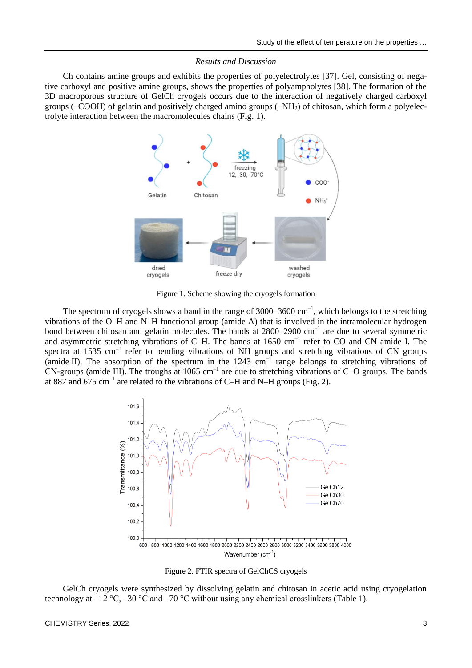### *Results and Discussion*

Ch contains amine groups and exhibits the properties of polyelectrolytes [37]. Gel, consisting of negative carboxyl and positive amine groups, shows the properties of polyampholytes [38]. The formation of the 3D macroporous structure of GelCh cryogels occurs due to the interaction of negatively charged carboxyl groups (–COOH) of gelatin and positively charged amino groups (–NH2) of chitosan, which form a polyelectrolyte interaction between the macromolecules chains (Fig. 1).



Figure 1. Scheme showing the cryogels formation

The spectrum of cryogels shows a band in the range of  $3000-3600 \text{ cm}^{-1}$ , which belongs to the stretching vibrations of the O–H and N–H functional group (amide A) that is involved in the intramolecular hydrogen bond between chitosan and gelatin molecules. The bands at 2800–2900 cm<sup>-1</sup> are due to several symmetric and asymmetric stretching vibrations of C-H. The bands at 1650 cm<sup>-1</sup> refer to CO and CN amide I. The spectra at 1535  $cm^{-1}$  refer to bending vibrations of NH groups and stretching vibrations of CN groups (amide II). The absorption of the spectrum in the  $1243 \text{ cm}^{-1}$  range belongs to stretching vibrations of CN-groups (amide III). The troughs at 1065  $cm^{-1}$  are due to stretching vibrations of C–O groups. The bands at 887 and 675 cm<sup>-1</sup> are related to the vibrations of C-H and N-H groups (Fig. 2).



Figure 2. FTIR spectra of GelChCS cryogels

GelCh cryogels were synthesized by dissolving gelatin and chitosan in acetic acid using cryogelation technology at  $-12 \degree C$ ,  $-30 \degree C$  and  $-70 \degree C$  without using any chemical crosslinkers (Table 1).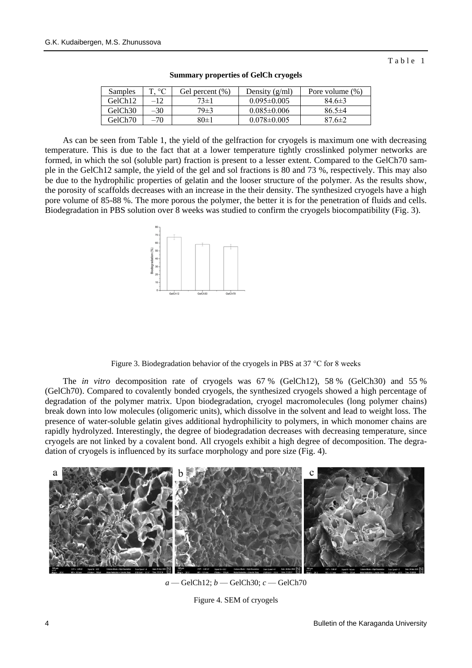Table 1

| Samples             | ጉ °Ր  | Gel percent (%) | Density $(g/ml)$  | Pore volume (%) |
|---------------------|-------|-----------------|-------------------|-----------------|
| GelCh12             | $-12$ | $73 \pm 1$      | $0.095 \pm 0.005$ | $84.6 \pm 3$    |
| GelCh <sub>30</sub> | -30   | $79\pm3$        | $0.085 \pm 0.006$ | $86.5 \pm 4$    |
| GelCh70             | -70   | 80±1            | $0.078 \pm 0.005$ | 87 6±2          |

**Summary properties of GelCh cryogels**

As can be seen from Table 1, the yield of the gelfraction for cryogels is maximum one with decreasing temperature. This is due to the fact that at a lower temperature tightly crosslinked polymer networks are formed, in which the sol (soluble part) fraction is present to a lesser extent. Compared to the GelCh70 sample in the GelCh12 sample, the yield of the gel and sol fractions is 80 and 73 %, respectively. This may also be due to the hydrophilic properties of gelatin and the looser structure of the polymer. As the results show, the porosity of scaffolds decreases with an increase in the their density. The synthesized cryogels have a high pore volume of 85-88 %. The more porous the polymer, the better it is for the penetration of fluids and cells. Biodegradation in PBS solution over 8 weeks was studied to confirm the cryogels biocompatibility (Fig. 3).



Figure 3. Biodegradation behavior of the cryogels in PBS at 37 °C for 8 weeks

The *in vitro* decomposition rate of cryogels was 67 % (GelCh12), 58 % (GelCh30) and 55 % (GelCh70). Compared to covalently bonded cryogels, the synthesized cryogels showed a high percentage of degradation of the polymer matrix. Upon biodegradation, cryogel macromolecules (long polymer chains) break down into low molecules (oligomeric units), which dissolve in the solvent and lead to weight loss. The presence of water-soluble gelatin gives additional hydrophilicity to polymers, in which monomer chains are rapidly hydrolyzed. Interestingly, the degree of biodegradation decreases with decreasing temperature, since cryogels are not linked by a covalent bond. All cryogels exhibit a high degree of decomposition. The degradation of cryogels is influenced by its surface morphology and pore size (Fig. 4).



*a* — GelCh12; *b* — GelCh30; *c* — GelCh70

Figure 4. SEM of cryogels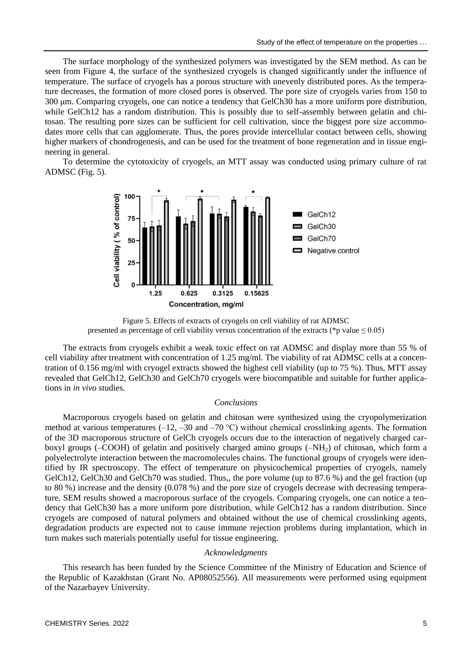The surface morphology of the synthesized polymers was investigated by the SEM method. As can be seen from Figure 4, the surface of the synthesized cryogels is changed significantly under the influence of temperature. The surface of cryogels has a porous structure with unevenly distributed pores. As the temperature decreases, the formation of more closed pores is observed. The pore size of cryogels varies from 150 to 300 μm. Comparing cryogels, one can notice a tendency that GelCh30 has a more uniform pore distribution, while GelCh12 has a random distribution. This is possibly due to self-assembly between gelatin and chitosan. The resulting pore sizes can be sufficient for cell cultivation, since the biggest pore size accommodates more cells that can agglomerate. Thus, the pores provide intercellular contact between cells, showing higher markers of chondrogenesis, and can be used for the treatment of bone regeneration and in tissue engineering in general.

To determine the cytotoxicity of cryogels, an MTT assay was conducted using primary culture of rat ADMSC (Fig. 5).



Figure 5. Effects of extracts of cryogels on cell viability of rat ADMSC presented as percentage of cell viability versus concentration of the extracts (\*p value  $\leq 0.05$ )

The extracts from cryogels exhibit a weak toxic effect on rat ADMSC and display more than 55 % of cell viability after treatment with concentration of 1.25 mg/ml. The viability of rat ADMSC cells at a concentration of 0.156 mg/ml with cryogel extracts showed the highest cell viability (up to 75 %). Thus, MTT assay revealed that GelCh12, GelCh30 and GelCh70 cryogels were biocompatible and suitable for further applications in *in vivo* studies.

# *Conclusions*

Macroporous cryogels based on gelatin and chitosan were synthesized using the cryopolymerization method at various temperatures  $(-12, -30$  and  $-70$  °C) without chemical crosslinking agents. The formation of the 3D macroporous structure of GelCh cryogels occurs due to the interaction of negatively charged carboxyl groups (–COOH) of gelatin and positively charged amino groups  $(-NH<sub>2</sub>)$  of chitosan, which form a polyelectrolyte interaction between the macromolecules chains. The functional groups of cryogels were identified by IR spectroscopy. The effect of temperature on physicochemical properties of cryogels, namely GelCh12, GelCh30 and GelCh70 was studied. Thus,, the pore volume (up to 87.6 %) and the gel fraction (up to 80 %) increase and the density (0.078 %) and the pore size of cryogels decrease with decreasing temperature. SEM results showed a macroporous surface of the cryogels. Comparing cryogels, one can notice a tendency that GelCh30 has a more uniform pore distribution, while GelCh12 has a random distribution. Since cryogels are composed of natural polymers and obtained without the use of chemical crosslinking agents, degradation products are expected not to cause immune rejection problems during implantation, which in turn makes such materials potentially useful for tissue engineering.

### *Acknowledgments*

This research has been funded by the Science Committee of the Ministry of Education and Science of the Republic of Kazakhstan (Grant No. AP08052556). All measurements were performed using equipment of the Nazarbayev University.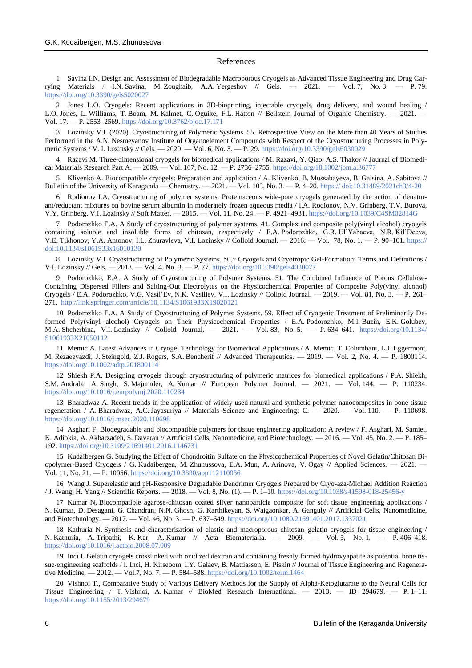#### References

1 Savina I.N. Design and Assessment of Biodegradable Macroporous Cryogels as Advanced Tissue Engineering and Drug Carrying Materials / I.N. Savina, M. Zoughaib, A.A. Yergeshov // Gels. — 2021. — Vol. 7, No. 3. — P. 79. <https://doi.org/10.3390/gels5020027>

2 Jones L.O. Cryogels: Recent applications in 3D-bioprinting, injectable cryogels, drug delivery, and wound healing / L.O. Jones, L. Williams, T. Boam, M. Kalmet, C. Oguike, F.L. Hatton // Beilstein Journal of Organic Chemistry. — 2021. — Vol. 17. — P. 2553–2569.<https://doi.org/10.3762/bjoc.17.171>

3 Lozinsky V.I. (2020). Cryostructuring of Polymeric Systems. 55. Retrospective View on the More than 40 Years of Studies Performed in the A.N. Nesmeyanov Institute of Organoelement Compounds with Respect of the Cryostructuring Processes in Polymeric Systems / V. I. Lozinsky // Gels. — 2020. — Vol. 6, No. 3. — P. 29[. https://doi.org/10.3390/gels6030029](https://doi.org/10.3390/gels6030029)

4 Razavi M. Three-dimensional cryogels for biomedical applications / M. Razavi, Y. Qiao, A.S. Thakor // Journal of Biomedical Materials Research Part A. — 2009. — Vol. 107, No. 12. — P. 2736–2755[. https://doi.org/10.1002/jbm.a.36777](https://doi.org/10.1002/jbm.a.36777)

5 Klivenko A. Biocompatible cryogels: Preparation and application / A. Klivenko, B. Mussabayeva, B. Gaisina, A. Sabitova // Bulletin of the University of Karaganda — Chemistry. — 2021. — Vol. 103, No. 3. — P. 4–20. [https://](https://chemistry-vestnik.ksu.kz/apart/2021-103-3/01.pdf) [doi:10.31489/2021ch3/4-20](https://chemistry-vestnik.ksu.kz/apart/2021-103-3/01.pdf)

6 Rodionov I.A. Cryostructuring of polymer systems. Proteinaceous wide-pore cryogels generated by the action of denaturant/reductant mixtures on bovine serum albumin in moderately frozen aqueous media / I.A. Rodionov, N.V. Grinberg, T.V. Burova, V.Y. Grinberg, V.I. Lozinsky // Soft Matter. — 2015. — Vol. 11, No. 24. — P. 4921–4931[. https://doi.org/10.1039/C4SM02814G](https://doi.org/10.1039/C4SM02814G)

7 Podorozhko E.A. A Study of cryostructuring of polymer systems. 41. Complex and composite poly(vinyl alcohol) cryogels containing soluble and insoluble forms of chitosan, respectively / E.A. Podorozhko, G.R. Ul'Yabaeva, N.R. Kil'Deeva, V.E. Tikhonov, Y.A. Antonov, I.L. Zhuravleva, V.I. Lozinsky // Colloid Journal. — 2016. — Vol. 78, No. 1. — P. 90–101. [https://](https://link.springer.com/article/10.1134/S1061933X16010130) [doi:10.1134/s1061933x16010130](https://link.springer.com/article/10.1134/S1061933X16010130)

8 Lozinsky V.I. Cryostructuring of Polymeric Systems. 50.† Cryogels and Cryotropic Gel-Formation: Terms and Definitions / V.I. Lozinsky // Gels. — 2018. — Vol. 4, No. 3. — P. 77[. https://doi.org/10.3390/gels4030077](https://doi.org/10.3390/gels4030077)

9 Podorozhko, [E.A. A Study of Cryostructuring of Polymer Systems. 51. The Combined Influence of Porous Cellulose-](https://doi.org/10.1134/s1061933x19020121)[Containing Dispersed Fillers and Salting-Out Electrolytes on the Physicochemical Properties of Composite Poly\(vinyl alcohol\)](https://doi.org/10.1134/s1061933x19020121)  Cryogels / E.A. Podorozhko, V.G. Vasil'Ev, N.K. Vasiliev, V.I. [Lozinsky // Colloid Journal.](https://doi.org/10.1134/s1061933x19020121) — 2019. — Vol. 81, No. 3. — P. 261– [271.](https://doi.org/10.1134/s1061933x19020121) [http://link.springer.com/article/10.1134/S1061933X19020121](http://link.springer.com/article/10.1134/S1061933X19020121?utm_source=researcher_app&utm_medium=referral&utm_campaign=RESR_MRKT_Researcher_inbound)

10 Podorozhko E.A. A Study of Cryostructuring of Polymer Systems. 59. Effect of Cryogenic Treatment of Preliminarily Deformed Poly(vinyl alcohol) Cryogels on Their Physicochemical Properties / E.A. Podorozhko, M.I. Buzin, E.K. Golubev, M.A. Shcherbina, V.I. Lozinsky // Colloid Journal. — 2021. — Vol. 83, No. 5. — P. 634–641. [https://doi.org/10.1134/](https://doi.org/10.1134/S1061933X21050112) [S1061933X21050112](https://doi.org/10.1134/S1061933X21050112)

11 Memic A. Latest Advances in Cryogel Technology for Biomedical Applications / A. Memic, T. Colombani, L.J. Eggermont, M. Rezaeeyazdi, J. Steingold, Z.J. Rogers, S.A. Bencherif // Advanced Therapeutics. — 2019. — Vol. 2, No. 4. — P. 1800114. <https://doi.org/10.1002/adtp.201800114>

12 Shiekh P.A. Designing cryogels through cryostructuring of polymeric matrices for biomedical applications / P.A. Shiekh, S.M. Andrabi, A. Singh, S. Majumder, A. Kumar // European Polymer Journal. — 2021. — Vol. 144. — P. 110234. <https://doi.org/10.1016/j.eurpolymj.2020.110234>

13 Bharadwaz A. Recent trends in the application of widely used natural and synthetic polymer nanocomposites in bone tissue regeneration / A. Bharadwaz, A.C. Jayasuriya // Materials Science and Engineering: C. — 2020. — Vol. 110. — P. 110698. <https://doi.org/10.1016/j.msec.2020.110698>

14 Asghari F. Biodegradable and biocompatible polymers for tissue engineering application: A review / F. Asghari, M. Samiei, K. Adibkia, A. Akbarzadeh, S. Davaran // Artificial Cells, Nanomedicine, and Biotechnology. — 2016. — Vol. 45, No. 2. — P. 185– 192[. https://doi.org/10.3109/21691401.2016.1146731](https://doi.org/10.3109/21691401.2016.1146731)

15 Kudaibergen G. Studying the Effect of Chondroitin Sulfate on the Physicochemical Properties of Novel Gelatin/Chitosan Biopolymer-Based Cryogels / G. Kudaibergen, M. Zhunussova, E.A. Mun, A. Arinova, V. Ogay // Applied Sciences. — 2021. — Vol. 11, No. 21. — P. 10056.<https://doi.org/10.3390/app112110056>

16 Wang J. Superelastic and pH-Responsive Degradable Dendrimer Cryogels Prepared by Cryo-aza-Michael Addition Reaction / J. Wang, H. Yang // Scientific Reports. — 2018. — Vol. 8, No. (1). — P. 1–10[. https://doi.org/10.1038/s41598-018-25456-y](https://doi.org/10.1038/s41598-018-25456-y)

17 Kumar N. Biocompatible agarose-chitosan coated silver nanoparticle composite for soft tissue engineering applications / N. Kumar, D. Desagani, G. Chandran, N.N. Ghosh, G. Karthikeyan, S. Waigaonkar, A. Ganguly // Artificial Cells, Nanomedicine, and Biotechnology. — 2017. — Vol. 46, No. 3. — P. 637–649.<https://doi.org/10.1080/21691401.2017.1337021>

18 Kathuria N. Synthesis and characterization of elastic and macroporous chitosan–gelatin cryogels for tissue engineering / N. Kathuria, A. Tripathi, K. Kar, A. Kumar // Acta Biomaterialia. — 2009. — Vol. 5, No. 1. — P. 406–418. <https://doi.org/10.1016/j.actbio.2008.07.009>

19 Inci I. Gelatin cryogels crosslinked with oxidized dextran and containing freshly formed hydroxyapatite as potential bone tissue-engineering scaffolds / I. Inci, H. Kirsebom, I.Y. Galaev, B. Mattiasson, E. Piskin // Journal of Tissue Engineering and Regenerative Medicine. — 2012. — Vol.7, No. 7. — P. 584–588.<https://doi.org/10.1002/term.1464>

20 Vishnoi T., Comparative Study of Various Delivery Methods for the Supply of Alpha-Ketoglutarate to the Neural Cells for Tissue Engineering / T. Vishnoi, A. Kumar // BioMed Research International. — 2013. — ID 294679. — P. 1–11. <https://doi.org/10.1155/2013/294679>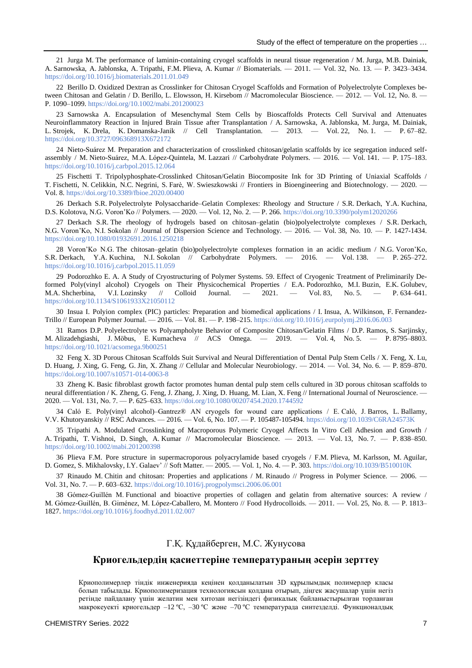21 Jurga M. The performance of laminin-containing cryogel scaffolds in neural tissue regeneration / M. Jurga, M.B. Dainiak, A. Sarnowska, A. Jablonska, A. Tripathi, F.M. Plieva, A. Kumar // Biomaterials. — 2011. — Vol. 32, No. 13. — P. 3423–3434. <https://doi.org/10.1016/j.biomaterials.2011.01.049>

22 Berillo D. Oxidized Dextran as Crosslinker for Chitosan Cryogel Scaffolds and Formation of Polyelectrolyte Complexes between Chitosan and Gelatin / D. Berillo, L. Elowsson, H. Kirsebom // Macromolecular Bioscience. — 2012. — Vol. 12, No. 8. — P. 1090–1099[. https://doi.org/10.1002/mabi.201200023](https://doi.org/10.1002/mabi.201200023)

23 Sarnowska A. Encapsulation of Mesenchymal Stem Cells by Bioscaffolds Protects Cell Survival and Attenuates Neuroinflammatory Reaction in Injured Brain Tissue after Transplantation / A. Sarnowska, A. Jablonska, M. Jurga, M. Dainiak, L. Strojek, K. Drela, K. Domanska-Janik // Cell Transplantation. — 2013. — Vol. 22, No. 1. — P. 67–82. [https://doi.org/10.3727/096368913X672172](https://doi.org/10.3727%2F096368913X672172)

24 Nieto-Suárez M. Preparation and characterization of crosslinked chitosan/gelatin scaffolds by ice segregation induced selfassembly / M. Nieto-Suárez, M.A. López-Quintela, M. Lazzari // Carbohydrate Polymers. — 2016. — Vol. 141. — P. 175–183. <https://doi.org/10.1016/j.carbpol.2015.12.064>

25 Fischetti T. Tripolyphosphate-Crosslinked Chitosan/Gelatin Biocomposite Ink for 3D Printing of Uniaxial Scaffolds / T. Fischetti, N. Celikkin, N.C. Negrini, S. Farè, W. Swieszkowski // Frontiers in Bioengineering and Biotechnology. — 2020. — Vol. 8[. https://doi.org/10.3389/fbioe.2020.00400](https://doi.org/10.3389/fbioe.2020.00400)

26 Derkach S.R. Polyelectrolyte Polysaccharide–Gelatin Complexes: Rheology and Structure / S.R. Derkach, Y.A. Kuchina, D.S. Kolotova, N.G. Voron'Ko // Polymers. — 2020. — Vol. 12, No. 2. — P. 266[. https://doi.org/10.3390/polym12020266](https://doi.org/10.3390/polym12020266)

27 Derkach S.R. The rheology of hydrogels based on chitosan–gelatin (bio)polyelectrolyte complexes / S.R. Derkach, N.G. Voron'Ko, N.I. Sokolan // Journal of Dispersion Science and Technology. — 2016. — Vol. 38, No. 10. — P. 1427-1434. <https://doi.org/10.1080/01932691.2016.1250218>

28 Voron'Ko N.G. The chitosan–gelatin (bio)polyelectrolyte complexes formation in an acidic medium / N.G. Voron'Ko, S.R. Derkach, Y.A. Kuchina, N.I. Sokolan // Carbohydrate Polymers. — 2016. — Vol. 138. — P. 265–272. <https://doi.org/10.1016/j.carbpol.2015.11.059>

29 Podorozhko E. A. A Study of Cryostructuring of Polymer Systems. 59. Effect of Cryogenic Treatment of Preliminarily Deformed Poly(vinyl alcohol) Cryogels on Their Physicochemical Properties / E.A. Podorozhko, M.I. Buzin, E.K. Golubev, M.A. Shcherbina, V.I. Lozinsky // Colloid Journal. — 2021. — Vol. 83, No. 5. — P. 634–641. <https://doi.org/10.1134/S1061933X21050112>

30 Insua I. Polyion complex (PIC) particles: Preparation and biomedical applications / I. Insua, A. Wilkinson, F. Fernandez-Trillo // European Polymer Journal. — 2016. — Vol. 81. — P. 198–215[. https://doi.org/10.1016/j.eurpolymj.2016.06.003](https://doi.org/10.1016/j.eurpolymj.2016.06.003)

31 Ramos D.P. Polyelectrolyte vs Polyampholyte Behavior of Composite Chitosan/Gelatin Films / D.P. Ramos, S. Sarjinsky, M. Alizadehgiashi, J. Möbus, E. Kumacheva // ACS Omega. — 2019. — Vol. 4, No. 5. — P. 8795–8803. <https://doi.org/10.1021/acsomega.9b00251>

32 Feng X. 3D Porous Chitosan Scaffolds Suit Survival and Neural Differentiation of Dental Pulp Stem Cells / X. Feng, X. Lu, D. Huang, J. Xing, G. Feng, G. Jin, X. Zhang // Cellular and Molecular Neurobiology. — 2014. — Vol. 34, No. 6. — P. 859–870. <https://doi.org/10.1007/s10571-014-0063-8>

33 Zheng K. Basic fibroblast growth factor promotes human dental pulp stem cells cultured in 3D porous chitosan scaffolds to neural differentiation / K. Zheng, G. Feng, J. Zhang, J. Xing, D. Huang, M. Lian, X. Feng // International Journal of Neuroscience. — 2020. — Vol. 131, No. 7. — P. 625–633[. https://doi.org/10.1080/00207454.2020.1744592](https://doi.org/10.1080/00207454.2020.1744592)

34 Caló E. Poly(vinyl alcohol)–Gantrez® AN cryogels for wound care applications / E. Caló, J. Barros, L. Ballamy, V.V. Khutoryanskiy // RSC Advances. — 2016. — Vol. 6, No. 107. — P. 105487-105494[. https://doi.org/10.1039/C6RA24573K](https://doi.org/10.1039/C6RA24573K)

35 Tripathi A. Modulated Crosslinking of Macroporous Polymeric Cryogel Affects In Vitro Cell Adhesion and Growth / A. Tripathi, T. Vishnoi, D. Singh, A. Kumar // Macromolecular Bioscience. — 2013. — Vol. 13, No. 7. — P. 838–850. <https://doi.org/10.1002/mabi.201200398>

36 Plieva F.M. Pore structure in supermacroporous polyacrylamide based cryogels / F.M. Plieva, M. Karlsson, M. Aguilar, D. Gomez, S. Mikhalovsky, I.Y. Galaev' // Soft Matter. — 2005. — Vol. 1, No. 4. — P. 303.<https://doi.org/10.1039/B510010K>

37 Rinaudo M. Chitin and chitosan: Properties and applications / M. Rinaudo // Progress in Polymer Science. — 2006. — Vol. 31, No. 7. — P. 603–632[. https://doi.org/10.1016/j.progpolymsci.2006.06.001](https://doi.org/10.1016/j.progpolymsci.2006.06.001)

38 Gómez-Guillén M. Functional and bioactive properties of collagen and gelatin from alternative sources: A review / M. Gómez-Guillén, B. Giménez, M. López-Caballero, M. Montero // Food Hydrocolloids. — 2011. — Vol. 25, No. 8. — P. 1813– 1827.<https://doi.org/10.1016/j.foodhyd.2011.02.007>

# Г.Қ. Құдайберген, М.С. Жунусова

# **Криогельдердің қасиеттеріне температураның әсерін зерттеу**

Криополимерлер тіндік инженерияда кеңінен қолданылатын 3D құрылымдық полимерлер класы болып табылады. Криополимеризация технологиясын қолдана отырып, діңгек жасушалар үшін негіз ретінде пайдалану үшін желатин мен хитозан негізіндегі физикалық байланыстырылған торланған макрокеуекті криогельдер –12 ºC, –30 ºC және –70 ºC температурада синтезделді. Функционалдық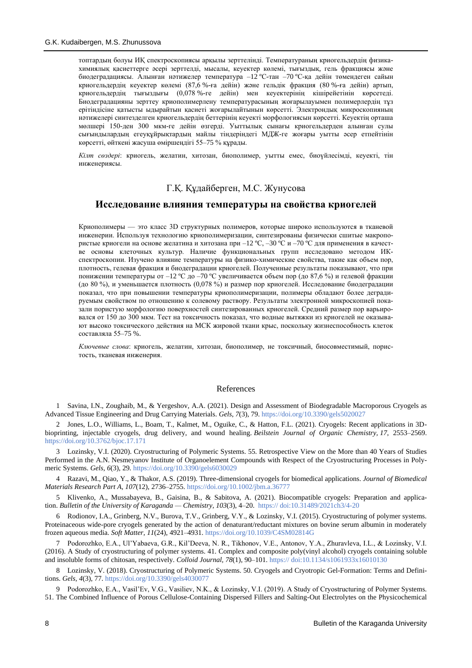топтардың болуы ИҚ спектроскопиясы арқылы зерттелінді. Температураның криогельдердің физикахимиялық қасиеттерге әсері зерттелді, мысалы, кеуектер көлемі, тығыздық, гель фракциясы және биодеградациясы. Алынған нәтижелер температура –12 ºС-тан –70 ºC-қа дейін төмендеген сайын криогельдердің кеуектер көлемі (87,6 %-ға дейін) және гельдік фракция (80 %-ға дейін) артып, криогельдердің тығыздығы (0,078 %-ге дейін) мен кеуектерінің кішірейетінін көрсетеді. Биодеградацияны зерттеу криополимерлену температурасының жоғарылауымен полимерлердің тұз ерітіндісіне қатысты ыдырайтын қасиеті жоғарылайтынын көрсетті. Электрондық микроскопияның нәтижелері синтезделген криогельдердің беттерінің кеуекті морфологиясын көрсетті. Кеуектің орташа мөлшері 150-ден 300 мкм-ге дейін өзгерді. Уыттылық сынағы криогельдерден алынған сулы сығындылардың егеуқұйрықтардың майлы тіндеріндегі МДЖ-ге жоғары уытты әсер етпейтінін көрсетті, өйткені жасуша өміршеңдігі 55–75 % құрады.

*Кілт сөздері*: криогель, желатин, хитозан, биополимер, уытты емес, биоүйлесімді, кеуекті, тін инженериясы.

# Г.Қ. Құдайберген, М.С. Жунусова

## **Исследование влияния температуры на свойства криогелей**

Криополимеры — это класс 3D структурных полимеров, которые широко используются в тканевой инженерии. Используя технологию криополимеризации, синтезированы физически сшитые макропористые криогели на основе желатина и хитозана при  $-12$  °C,  $-30$  °C и  $-70$  °C для применения в качестве основы клеточных культур. Наличие функциональных групп исследовано методом ИКспектроскопии. Изучено влияние температуры на физико-химические свойства, такие как объем пор, плотность, гелевая фракция и биодеградации криогелей. Полученные результаты показывают, что при понижении температуры от –12 ºC до –70 ºC увеличивается объем пор (до 87,6 %) и гелевой фракции (до 80 %), и уменьшается плотность (0,078 %) и размер пор криогелей. Исследование биодеградации показал, что при повышении температуры криополимеризации, полимеры обладают более деградируемым свойством по отношению к солевому раствору. Результаты электронной микроскопией показали пористую морфологию поверхностей синтезированных криогелей. Средний размер пор варьировался от 150 до 300 мкм. Тест на токсичность показал, что водные вытяжки из криогелей не оказывают высоко токсического действия на МСК жировой ткани крыс, поскольку жизнеспособность клеток составляла 55–75 %.

*Ключевые слова*: криогель, желатин, хитозан, биополимер, не токсичный, биосовместимый, пористость, тканевая инженерия.

#### References

1 Savina, I.N., Zoughaib, M., & Yergeshov, A.A. (2021). Design and Assessment of Biodegradable Macroporous Cryogels as Advanced Tissue Engineering and Drug Carrying Materials. *Gels*, *7*(3), 79.<https://doi.org/10.3390/gels5020027>

2 Jones, L.O., Williams, L., Boam, T., Kalmet, M., Oguike, C., & Hatton, F.L. (2021). Cryogels: Recent applications in 3Dbioprinting, injectable cryogels, drug delivery, and wound healing. *Beilstein Journal of Organic Chemistry, 17*, 2553–2569. <https://doi.org/10.3762/bjoc.17.171>

3 Lozinsky, V.I. (2020). Cryostructuring of Polymeric Systems. 55. Retrospective View on the More than 40 Years of Studies Performed in the A.N. Nesmeyanov Institute of Organoelement Compounds with Respect of the Cryostructuring Processes in Polymeric Systems. *Gels, 6*(3), 29.<https://doi.org/10.3390/gels6030029>

4 Razavi, M., Qiao, Y., & Thakor, A.S. (2019). Three-dimensional cryogels for biomedical applications. *Journal of Biomedical Materials Research Part A, 107*(12), 2736–2755.<https://doi.org/10.1002/jbm.a.36777>

5 Klivenko, A., Mussabayeva, B., Gaisina, B., & Sabitova, A. (2021). Biocompatible cryogels: Preparation and application. *Bulletin of the University of Karaganda — Chemistry, 103*(3), 4–20[. https://](https://chemistry-vestnik.ksu.kz/apart/2021-103-3/01.pdf) [doi:10.31489/2021ch3/4-20](https://chemistry-vestnik.ksu.kz/apart/2021-103-3/01.pdf)

6 Rodionov, I.A., Grinberg, N.V., Burova, T.V., Grinberg, V.Y., & Lozinsky, V.I. (2015). Cryostructuring of polymer systems. Proteinaceous wide-pore cryogels generated by the action of denaturant/reductant mixtures on bovine serum albumin in moderately frozen aqueous media. *Soft Matter, 11*(24), 4921–4931.<https://doi.org/10.1039/C4SM02814G>

7 Podorozhko, E.A., Ul'Yabaeva, G.R., Kil'Deeva, N. R., Tikhonov, V.E., Antonov, Y.A., Zhuravleva, I.L., & Lozinsky, V.I. (2016). A Study of cryostructuring of polymer systems. 41. Complex and composite poly(vinyl alcohol) cryogels containing soluble and insoluble forms of chitosan, respectively. *Colloid Journal, 78*(1), 90–101. [https://](https://link.springer.com/article/10.1134/S1061933X16010130) [doi:10.1134/s1061933x16010130](https://link.springer.com/article/10.1134/S1061933X16010130)

8 Lozinsky, V. (2018). Cryostructuring of Polymeric Systems. 50. Cryogels and Cryotropic Gel-Formation: Terms and Definitions. *Gels, 4*(3), 77[. https://doi.org/10.3390/gels4030077](https://doi.org/10.3390/gels4030077)

9 Podorozhko, E.A., Vasil'Ev, V.G., Vasiliev, N.K., & Lozinsky, V.I. (2019). A Study of Cryostructuring of Polymer Systems. 51. The Combined Influence of Porous Cellulose-Containing Dispersed Fillers and Salting-Out Electrolytes on the Physicochemical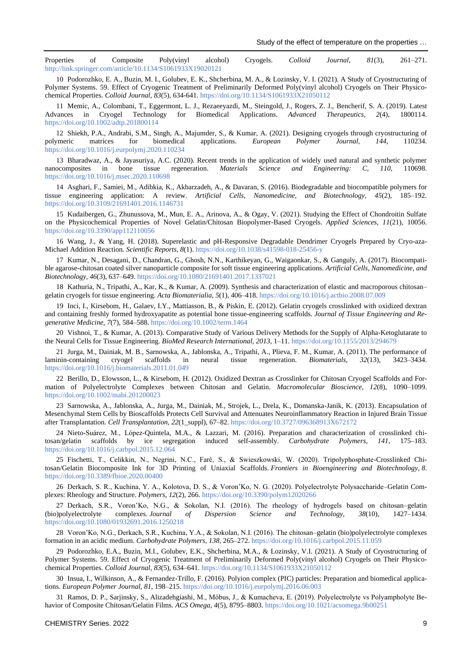Properties of Composite Poly(vinyl alcohol) Cryogels. *Colloid Journal, 81*(3), 261–271. [http://link.springer.com/article/10.1134/S1061933X19020121](http://link.springer.com/article/10.1134/S1061933X19020121?utm_source=researcher_app&utm_medium=referral&utm_campaign=RESR_MRKT_Researcher_inbound)

10 Podorozhko, E. A., Buzin, M. I., Golubev, E. K., Shcherbina, M. A., & Lozinsky, V. I. (2021). A Study of Cryostructuring of Polymer Systems. 59. Effect of Cryogenic Treatment of Preliminarily Deformed Poly(vinyl alcohol) Cryogels on Their Physicochemical Properties. *Colloid Journal, 83*(5), 634-641[. https://doi.org/10.1134/S1061933X21050112](https://doi.org/10.1134/S1061933X21050112)

11 Memic, A., Colombani, T., Eggermont, L. J., Rezaeeyazdi, M., Steingold, J., Rogers, Z. J., Bencherif, S. A. (2019). Latest Advances in Cryogel Technology for Biomedical Applications. *Advanced Therapeutics, 2*(4), 1800114. <https://doi.org/10.1002/adtp.201800114>

12 Shiekh, P.A., Andrabi, S.M., Singh, A., Majumder, S., & Kumar, A. (2021). Designing cryogels through cryostructuring of polymeric matrices for biomedical applications. *European Polymer Journal, 144*, 110234. <https://doi.org/10.1016/j.eurpolymj.2020.110234>

13 Bharadwaz, A., & Jayasuriya, A.C. (2020). Recent trends in the application of widely used natural and synthetic polymer nanocomposites in bone tissue regeneration. *Materials Science and Engineering: C, 110*, 110698. <https://doi.org/10.1016/j.msec.2020.110698>

14 Asghari, F., Samiei, M., Adibkia, K., Akbarzadeh, A., & Davaran, S. (2016). Biodegradable and biocompatible polymers for tissue engineering application: A review. *Artificial Cells, Nanomedicine, and Biotechnology, 45*(2), 185–192. <https://doi.org/10.3109/21691401.2016.1146731>

15 Kudaibergen, G., Zhunussova, M., Mun, E. A., Arinova, A., & Ogay, V. (2021). Studying the Effect of Chondroitin Sulfate on the Physicochemical Properties of Novel Gelatin/Chitosan Biopolymer-Based Cryogels. *Applied Sciences, 11*(21), 10056. <https://doi.org/10.3390/app112110056>

16 Wang, J., & Yang, H. (2018). Superelastic and pH-Responsive Degradable Dendrimer Cryogels Prepared by Cryo-aza-Michael Addition Reaction. *Scientific Reports, 8*(1).<https://doi.org/10.1038/s41598-018-25456-y>

17 Kumar, N., Desagani, D., Chandran, G., Ghosh, N.N., Karthikeyan, G., Waigaonkar, S., & Ganguly, A. (2017). Biocompatible agarose-chitosan coated silver nanoparticle composite for soft tissue engineering applications. *Artificial Cells, Nanomedicine, and Biotechnology, 46*(3), 637–649.<https://doi.org/10.1080/21691401.2017.1337021>

18 Kathuria, N., Tripathi, A., Kar, K., & Kumar, A. (2009). Synthesis and characterization of elastic and macroporous chitosan– gelatin cryogels for tissue engineering. *Acta Biomaterialia, 5*(1), 406–418[. https://doi.org/10.1016/j.actbio.2008.07.009](https://doi.org/10.1016/j.actbio.2008.07.009)

19 Inci, I., Kirsebom, H., Galaev, I.Y., Mattiasson, B., & Piskin, E. (2012). Gelatin cryogels crosslinked with oxidized dextran and containing freshly formed hydroxyapatite as potential bone tissue-engineering scaffolds. *Journal of Tissue Engineering and Regenerative Medicine, 7*(7), 584–588[. https://doi.org/10.1002/term.1464](https://doi.org/10.1002/term.1464)

20 Vishnoi, T., & Kumar, A. (2013). Comparative Study of Various Delivery Methods for the Supply of Alpha-Ketoglutarate to the Neural Cells for Tissue Engineering. *BioMed Research International, 2013*, 1–11.<https://doi.org/10.1155/2013/294679>

21 Jurga, M., Dainiak, M. B., Sarnowska, A., Jablonska, A., Tripathi, A., Plieva, F. M., Kumar, A. (2011). The performance of laminin-containing cryogel scaffolds in neural tissue regeneration. *Biomaterials, 32*(13), 3423–3434. <https://doi.org/10.1016/j.biomaterials.2011.01.049>

22 Berillo, D., Elowsson, L., & Kirsebom, H. (2012). Oxidized Dextran as Crosslinker for Chitosan Cryogel Scaffolds and Formation of Polyelectrolyte Complexes between Chitosan and Gelatin. *Macromolecular Bioscience, 12*(8), 1090–1099. <https://doi.org/10.1002/mabi.201200023>

23 Sarnowska, A., Jablonska, A., Jurga, M., Dainiak, M., Strojek, L., Drela, K., Domanska-Janik, K. (2013). Encapsulation of Mesenchymal Stem Cells by Bioscaffolds Protects Cell Survival and Attenuates Neuroinflammatory Reaction in Injured Brain Tissue after Transplantation. *Cell Transplantation, 22*(1\_suppl), 67–82. [https://doi.org/10.3727/096368913X672172](https://doi.org/10.3727%2F096368913X672172)

24 Nieto-Suárez, M., López-Quintela, M.A., & Lazzari, M. (2016). Preparation and characterization of crosslinked chitosan/gelatin scaffolds by ice segregation induced self-assembly. *Carbohydrate Polymers, 141*, 175–183. <https://doi.org/10.1016/j.carbpol.2015.12.064>

25 Fischetti, T., Celikkin, N., Negrini, N.C., Farè, S., & Swieszkowski, W. (2020). Tripolyphosphate-Crosslinked Chitosan/Gelatin Biocomposite Ink for 3D Printing of Uniaxial Scaffolds. *Frontiers in Bioengineering and Biotechnology, 8*. <https://doi.org/10.3389/fbioe.2020.00400>

26 Derkach, S. R., Kuchina, Y. A., Kolotova, D. S., & Voron'Ko, N. G. (2020). Polyelectrolyte Polysaccharide–Gelatin Complexes: Rheology and Structure. *Polymers, 12*(2), 266.<https://doi.org/10.3390/polym12020266>

27 Derkach, S.R., Voron'Ko, N.G., & Sokolan, N.I. (2016). The rheology of hydrogels based on chitosan–gelatin (bio)polyelectrolyte complexes. *Journal of Dispersion Science and Technology, 38*(10), 1427–1434. <https://doi.org/10.1080/01932691.2016.1250218>

28 Voron'Ko, N.G., Derkach, S.R., Kuchina, Y.A., & Sokolan, N.I. (2016). The chitosan–gelatin (bio)polyelectrolyte complexes formation in an acidic medium. *Carbohydrate Polymers, 138*, 265–272[. https://doi.org/10.1016/j.carbpol.2015.11.059](https://doi.org/10.1016/j.carbpol.2015.11.059)

29 Podorozhko, E.A., Buzin, M.I., Golubev, E.K., Shcherbina, M.A., & Lozinsky, V.I. (2021). A Study of Cryostructuring of Polymer Systems. 59. Effect of Cryogenic Treatment of Preliminarily Deformed Poly(vinyl alcohol) Cryogels on Their Physicochemical Properties. *Colloid Journal, 83*(5), 634–641.<https://doi.org/10.1134/S1061933X21050112>

30 Insua, I., Wilkinson, A., & Fernandez-Trillo, F. (2016). Polyion complex (PIC) particles: Preparation and biomedical applications. *European Polymer Journal, 81*, 198–215.<https://doi.org/10.1016/j.eurpolymj.2016.06.003>

31 Ramos, D. P., Sarjinsky, S., Alizadehgiashi, M., Möbus, J., & Kumacheva, E. (2019). Polyelectrolyte vs Polyampholyte Behavior of Composite Chitosan/Gelatin Films. *ACS Omega, 4*(5), 8795–8803[. https://doi.org/10.1021/acsomega.9b00251](https://doi.org/10.1021/acsomega.9b00251)